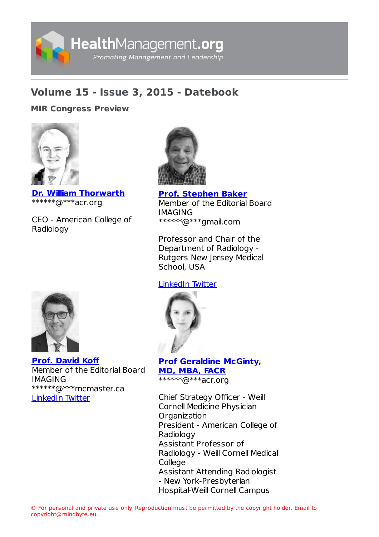

# **Volume 15 - Issue 3, 2015 - Datebook**

# **MIR [Congress](https://healthmanagement.org/s/mir-congress-preview) Preview**



**Dr. William [Thorwarth](https://healthmanagement.org/viewProfile/74565/William_Thorwarth)** \*\*\*\*\*\*@\*\*\*acr.org

CEO - American College of Radiology



**Prof. [Stephen](https://healthmanagement.org/viewProfile/245/Stephen_Baker) Baker** Member of the Editorial Board IMAGING \*\*\*\*\*\*@\*\*\*gmail.com

Professor and Chair of the Department of Radiology - Rutgers New Jersey Medical School, USA

## [LinkedIn](https://www.linkedin.com/in/stephen-baker-03b62779/) [Twitter](https://twitter.com/NJMSDeansOffice)



### **Prof [Geraldine](https://healthmanagement.org/viewProfile/73343/Geraldine_McGinty) McGinty, MD, MBA, FACR** \*\*\*\*\*\*@\*\*\*acr.org

Chief Strategy Officer - Weill Cornell Medicine Physician **Organization** President - American College of Radiology Assistant Professor of Radiology - Weill Cornell Medical College Assistant Attending Radiologist - New York-Presbyterian Hospital-Weill Cornell Campus



**Prof. [David](https://healthmanagement.org/viewProfile/26121/David_Koff) Koff** Member of the Editorial Board IMAGING \*\*\*\*\*\*@\*\*\*mcmaster.ca [LinkedIn](https://www.linkedin.com/in/david-koff-56194016/) [Twitter](https://twitter.com/koff14)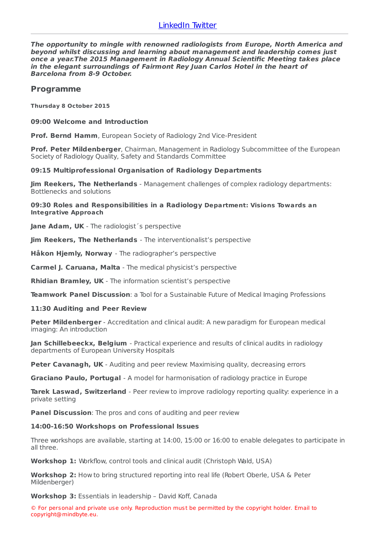**The opportunity to mingle with renowned radiologists from Europe, North America and beyond whilst discussing and learning about management and leadership comes just once a year.The 2015 Management in Radiology Annual Scientific Meeting takes place in the elegant surroundings of Fairmont Rey Juan Carlos Hotel in the heart of Barcelona from 8-9 October.**

### **Programme**

**Thursday 8 October 2015**

#### **09:00 Welcome and Introduction**

**Prof. Bernd Hamm**, European Society of Radiology 2nd Vice-President

**Prof. Peter Mildenberger**, Chairman, Management in Radiology Subcommittee of the European Society of Radiology Quality, Safety and Standards Committee

#### **09:15 Multiprofessional Organisation of Radiology Departments**

**Jim Reekers, The Netherlands** - Management challenges of complex radiology departments: Bottlenecks and solutions

**09:30 Roles and Responsibilities in a Radiology Department: Visions Towards an Integrative Approach**

**Jane Adam, UK** - The radiologist´s perspective

**Jim Reekers, The Netherlands** - The interventionalist's perspective

**Håkon Hjemly, Norway** - The radiographer's perspective

**Carmel J. Caruana, Malta** - The medical physicist's perspective

**Rhidian Bramley, UK** - The information scientist's perspective

**Teamwork Panel Discussion**: a Tool for a Sustainable Future of Medical Imaging Professions

#### **11:30 Auditing and Peer Review**

**Peter Mildenberger** - Accreditation and clinical audit: A new paradigm for European medical imaging: An introduction

**Jan Schillebeeckx, Belgium** - Practical experience and results of clinical audits in radiology departments of European University Hospitals

**Peter Cavanagh, UK** - Auditing and peer review: Maximising quality, decreasing errors

**Graciano Paulo, Portugal** - A model for harmonisation of radiology practice in Europe

**Tarek Laswad, Switzerland** - Peer review to improve radiology reporting quality: experience in a private setting

**Panel Discussion**: The pros and cons of auditing and peer review

#### **14:00-16:50 Workshops on Professional Issues**

Three workshops are available, starting at 14:00, 15:00 or 16:00 to enable delegates to participate in all three.

**Workshop 1:** Workflow, control tools and clinical audit (Christoph Wald, USA)

**Workshop 2:** How to bring structured reporting into real life (Robert Oberle, USA & Peter Mildenberger)

**Workshop 3:** Essentials in leadership – David Koff, Canada

© For personal and private use only. Reproduction must be permitted by the copyright holder. Email to copyright@mindbyte.eu.